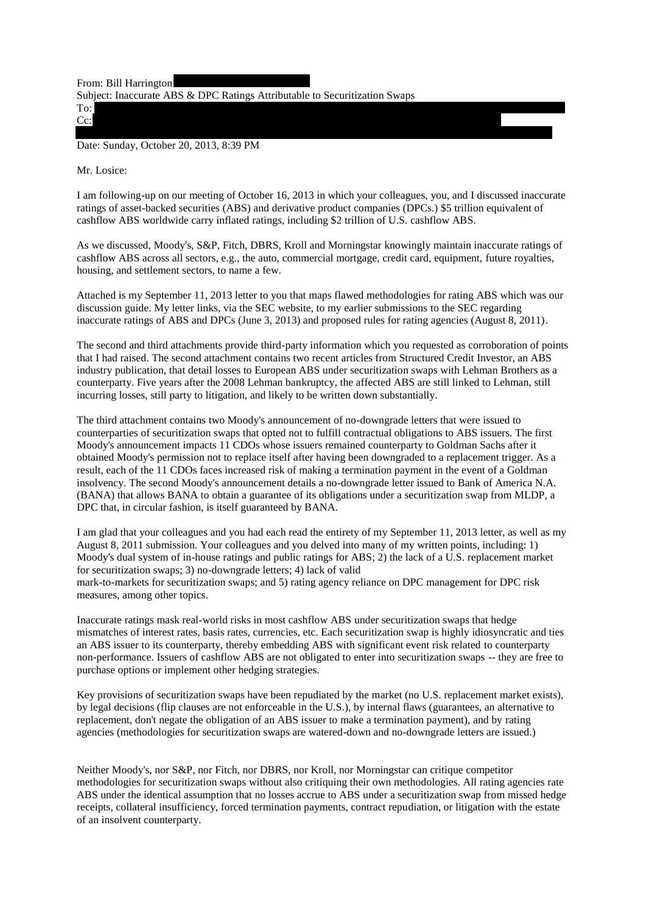From: Bill Harrington Subject: Inaccurate ABS & DPC Ratings Attributable to Securitization Swaps To:

Cc:

Date: Sunday, October 20, 2013, 8:39 PM

Mr. Losice:

I am following-up on our meeting of October 16, 2013 in which your colleagues, you, and I discussed inaccurate ratings of asset-backed securities (ABS) and derivative product companies (DPCs.) \$5 trillion equivalent of cashflow ABS worldwide carry inflated ratings, including \$2 trillion of U.S. cashflow ABS.

As we discussed, Moody's, S&P, Fitch, DBRS, Kroll and Morningstar knowingly maintain inaccurate ratings of cashflow ABS across all sectors, e.g., the auto, commercial mortgage, credit card, equipment, future royalties, housing, and settlement sectors, to name a few.

Attached is my September 11, 2013 letter to you that maps flawed methodologies for rating ABS which was our discussion guide. My letter links, via the SEC website, to my earlier submissions to the SEC regarding inaccurate ratings of ABS and DPCs (June 3, 2013) and proposed rules for rating agencies (August 8, 2011).

The second and third attachments provide third-party information which you requested as corroboration of points that I had raised. The second attachment contains two recent articles from Structured Credit Investor, an ABS industry publication, that detail losses to European ABS under securitization swaps with Lehman Brothers as a counterparty. Five years after the 2008 Lehman bankruptcy, the affected ABS are still linked to Lehman, still incurring losses, still party to litigation, and likely to be written down substantially.

The third attachment contains two Moody's announcement of no-downgrade letters that were issued to counterparties of securitization swaps that opted not to fulfill contractual obligations to ABS issuers. The first Moody's announcement impacts 11 CDOs whose issuers remained counterparty to Goldman Sachs after it obtained Moody's permission not to replace itself after having been downgraded to a replacement trigger. As a result, each of the 11 CDOs faces increased risk of making a termination payment in the event of a Goldman insolvency. The second Moody's announcement details a no-downgrade letter issued to Bank of America N.A. (BANA) that allows BANA to obtain a guarantee of its obligations under a securitization swap from MLDP, a DPC that, in circular fashion, is itself guaranteed by BANA.

I am glad that your colleagues and you had each read the entirety of my September 11, 2013 letter, as well as my August 8, 2011 submission. Your colleagues and you delved into many of my written points, including: 1) Moody's dual system of in-house ratings and public ratings for ABS; 2) the lack of a U.S. replacement market for securitization swaps; 3) no-downgrade letters; 4) lack of valid

mark-to-markets for securitization swaps; and 5) rating agency reliance on DPC management for DPC risk measures, among other topics.

Inaccurate ratings mask real-world risks in most cashflow ABS under securitization swaps that hedge mismatches of interest rates, basis rates, currencies, etc. Each securitization swap is highly idiosyncratic and ties an ABS issuer to its counterparty, thereby embedding ABS with significant event risk related to counterparty non-performance. Issuers of cashflow ABS are not obligated to enter into securitization swaps -- they are free to purchase options or implement other hedging strategies.

Key provisions of securitization swaps have been repudiated by the market (no U.S. replacement market exists), by legal decisions (flip clauses are not enforceable in the U.S.), by internal flaws (guarantees, an alternative to replacement, don't negate the obligation of an ABS issuer to make a termination payment), and by rating agencies (methodologies for securitization swaps are watered-down and no-downgrade letters are issued.)

Neither Moody's, nor S&P, nor Fitch, nor DBRS, nor Kroll, nor Morningstar can critique competitor methodologies for securitization swaps without also critiquing their own methodologies. All rating agencies rate ABS under the identical assumption that no losses accrue to ABS under a securitization swap from missed hedge receipts, collateral insufficiency, forced termination payments, contract repudiation, or litigation with the estate of an insolvent counterparty.